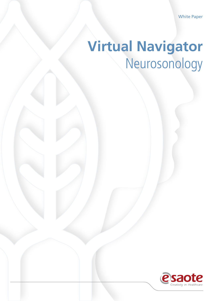White Paper

# **Virtual Navigator** Neurosonology

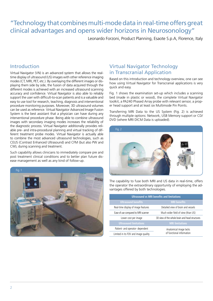# "Technology that combines multi-mode data in real-time offers great clinical advantages and opens wider horizons in Neurosonology"

Leonardo Forzoni, Product Planning, Esaote S.p.A, Florence, Italy

## Introduction

Virtual Navigator (VN) is an advanced system that allows the realtime display of ultrasound (US) images with other reference imaging modes (CT, MRI, PET, etc.). By overlaying the different images or displaying them side by side, the fusion of data acquired through the different modes is achieved with an increased ultrasound scanning accuracy and confidence. Virtual Navigator is also able to reliably support the user with difficult-to-scan patients and is a valuable and easy to use tool for research, teaching, diagnosis and interventional procedure monitoring purposes. Moreover, 3D ultrasound volumes can be used as reference. Virtual Navigator Advanced Image Fusion System is the best assistant that a physician can have during any interventional procedure phase. Being able to combine ultrasound images with secondary imaging modes increases the reliability of the diagnostic process. Virtual Navigator additionally provides reliable pre- and intra-procedural planning and virtual tracking of different treatment probe modes. Virtual Navigator is actually able to combine the most advanced ultrasound technologies, such as CEUS (Contrast Enhanced Ultrasound) and CFM (but also PW and CW), during scanning and treatment.

Such capability allows clinicians to immediately compare pre and post treatment clinical conditions and to better plan future disease management as well as any kind of follow-up.



# Virtual Navigator Technology in Transcranial Application

Based on this introduction and technology overview, one can see how using Virtual Navigator for Transcranial applications is very quick and easy.

Fig. 1 shows the examination set-up which includes a scanning bed (made in plastic or wood), the complete Virtual Navigator toolkit, a PA240 Phased Array probe with relevant sensor, a proper head support and at least six Multimode Pin Points.

Transferring MRI Data to the US System (Fig. 2) is achieved through multiple options: Network, USB Memory support or CD/ DVD (where MRI DICM Data is uploaded).



The capability to fuse both MRI and US data in real-time, offers the operator the extraordinary opportunity of employing the advantages offered by both technologies.

| <b>Ultrasound vs MRI benefits and limitations</b> |                                                     |
|---------------------------------------------------|-----------------------------------------------------|
| <b>Ultrasound benefits</b>                        | <b>MRI</b> benefits                                 |
| Real-time display of image features               | Detailed view of brain and vessels                  |
| Ease of use compared to MRI scanner               | Much wider field of view (than US)                  |
| Lower cost per image                              | 3D view of the whole brain and head structures      |
| <b>Ultrasound limitations</b>                     | <b>MRI</b> limitations                              |
| Patient- and operator- dependent                  | Anatomical image lacks<br>of functional information |
| Limited in its FOV and image quality              |                                                     |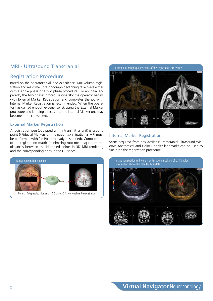# Registration Procedure

Based on the operator's skill and experience, MRI volume registration and real-time ultrasonographic scanning take place either with a single phase or a two phase procedure. For an initial approach, the two phases procedure whereby the operator begins with External Marker Registration and completes the job with Internal Marker Registration is recommended. When the operator has gained enough experience, skipping the External Marker procedure and jumping directly into the Internal Marker one may become more convenient.

#### External Marker Registration

A registration pen (equipped with a transmitter unit) is used to point 6 Fiducial Markers on the patient skin (patient's MRI must be performed with Pin Points already positioned). Computation of the registration matrix (minimizing root mean square of the distances between the identified points in 3D MRI rendering and the corresponding ones in the US-space).



Result: 1<sup>st</sup> step registration error <0.5 cm  $\rightarrow$  2<sup>nd</sup> step to refine the registration



### Internal Marker Registration

Scans acquired from any available Transcranial ultrasound window. Anatomical and Color Doppler landmarks can be used to fine tune the registration procedure.